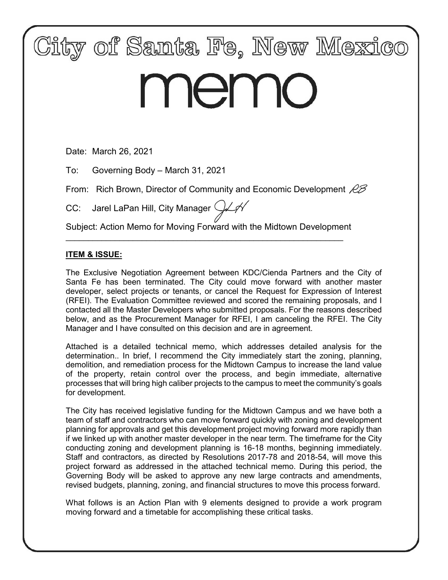

# memo

Date: March 26, 2021

To: Governing Body – March 31, 2021

From: Rich Brown, Director of Community and Economic Development  $\mathscr{B}$ 

CC: Jarel LaPan Hill, City Manager  $\mathcal{Y}\mathcal{N}$ 

Subject: Action Memo for Moving Forward with the Midtown Development

\_\_\_\_\_\_\_\_\_\_\_\_\_\_\_\_\_\_\_\_\_\_\_\_\_\_\_\_\_\_\_\_\_\_\_\_\_\_\_\_\_\_\_\_\_\_\_\_\_\_\_\_\_\_\_\_\_\_\_\_\_\_

# **ITEM & ISSUE:**

The Exclusive Negotiation Agreement between KDC/Cienda Partners and the City of Santa Fe has been terminated. The City could move forward with another master developer, select projects or tenants, or cancel the Request for Expression of Interest (RFEI). The Evaluation Committee reviewed and scored the remaining proposals, and I contacted all the Master Developers who submitted proposals. For the reasons described below, and as the Procurement Manager for RFEI, I am canceling the RFEI. The City Manager and I have consulted on this decision and are in agreement.

Attached is a detailed technical memo, which addresses detailed analysis for the determination.. In brief, I recommend the City immediately start the zoning, planning, demolition, and remediation process for the Midtown Campus to increase the land value of the property, retain control over the process, and begin immediate, alternative processes that will bring high caliber projects to the campus to meet the community's goals for development.

The City has received legislative funding for the Midtown Campus and we have both a team of staff and contractors who can move forward quickly with zoning and development planning for approvals and get this development project moving forward more rapidly than if we linked up with another master developer in the near term. The timeframe for the City conducting zoning and development planning is 16-18 months, beginning immediately. Staff and contractors, as directed by Resolutions 2017-78 and 2018-54, will move this project forward as addressed in the attached technical memo. During this period, the Governing Body will be asked to approve any new large contracts and amendments, revised budgets, planning, zoning, and financial structures to move this process forward.

What follows is an Action Plan with 9 elements designed to provide a work program moving forward and a timetable for accomplishing these critical tasks.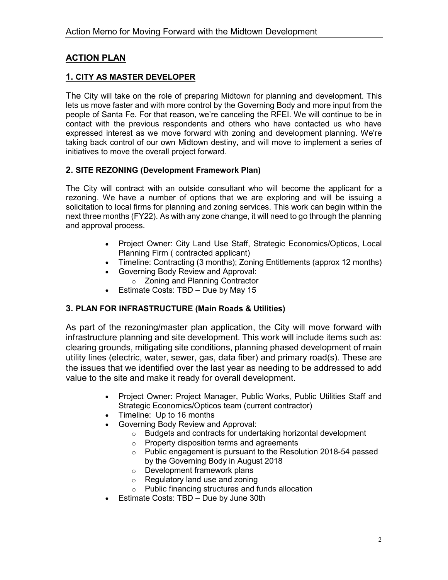# **ACTION PLAN**

# **1. CITY AS MASTER DEVELOPER**

The City will take on the role of preparing Midtown for planning and development. This lets us move faster and with more control by the Governing Body and more input from the people of Santa Fe. For that reason, we're canceling the RFEI. We will continue to be in contact with the previous respondents and others who have contacted us who have expressed interest as we move forward with zoning and development planning. We're taking back control of our own Midtown destiny, and will move to implement a series of initiatives to move the overall project forward.

## **2. SITE REZONING (Development Framework Plan)**

The City will contract with an outside consultant who will become the applicant for a rezoning. We have a number of options that we are exploring and will be issuing a solicitation to local firms for planning and zoning services. This work can begin within the next three months (FY22). As with any zone change, it will need to go through the planning and approval process.

- Project Owner: City Land Use Staff, Strategic Economics/Opticos, Local Planning Firm ( contracted applicant)
- Timeline: Contracting (3 months); Zoning Entitlements (approx 12 months)
- Governing Body Review and Approval:
	- o Zoning and Planning Contractor
- Estimate Costs: TBD Due by May 15

# **3. PLAN FOR INFRASTRUCTURE (Main Roads & Utilities)**

As part of the rezoning/master plan application, the City will move forward with infrastructure planning and site development. This work will include items such as: clearing grounds, mitigating site conditions, planning phased development of main utility lines (electric, water, sewer, gas, data fiber) and primary road(s). These are the issues that we identified over the last year as needing to be addressed to add value to the site and make it ready for overall development.

- Project Owner: Project Manager, Public Works, Public Utilities Staff and Strategic Economics/Opticos team (current contractor)
- Timeline: Up to 16 months
- Governing Body Review and Approval:
	- o Budgets and contracts for undertaking horizontal development
	- o Property disposition terms and agreements
	- o Public engagement is pursuant to the Resolution 2018-54 passed by the Governing Body in August 2018
	- o Development framework plans
	- o Regulatory land use and zoning
	- o Public financing structures and funds allocation
- Estimate Costs: TBD Due by June 30th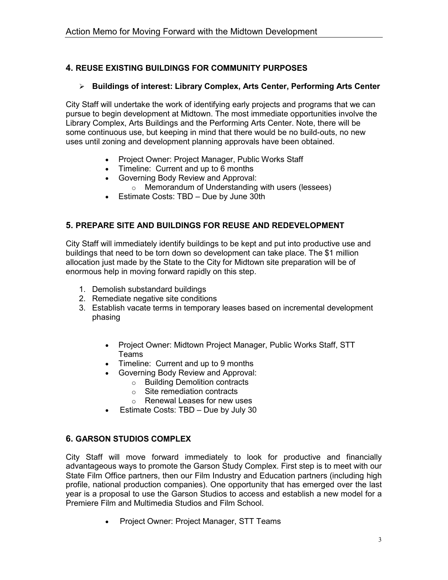# **4. REUSE EXISTING BUILDINGS FOR COMMUNITY PURPOSES**

## **Buildings of interest: Library Complex, Arts Center, Performing Arts Center**

City Staff will undertake the work of identifying early projects and programs that we can pursue to begin development at Midtown. The most immediate opportunities involve the Library Complex, Arts Buildings and the Performing Arts Center. Note, there will be some continuous use, but keeping in mind that there would be no build-outs, no new uses until zoning and development planning approvals have been obtained.

- Project Owner: Project Manager, Public Works Staff
- Timeline: Current and up to 6 months
- Governing Body Review and Approval:
	- o Memorandum of Understanding with users (lessees)
- Estimate Costs: TBD Due by June 30th

# **5. PREPARE SITE AND BUILDINGS FOR REUSE AND REDEVELOPMENT**

City Staff will immediately identify buildings to be kept and put into productive use and buildings that need to be torn down so development can take place. The \$1 million allocation just made by the State to the City for Midtown site preparation will be of enormous help in moving forward rapidly on this step.

- 1. Demolish substandard buildings
- 2. Remediate negative site conditions
- 3. Establish vacate terms in temporary leases based on incremental development phasing
	- Project Owner: Midtown Project Manager, Public Works Staff, STT Teams
	- Timeline: Current and up to 9 months
	- Governing Body Review and Approval:
		- o Building Demolition contracts
		- $\circ$  Site remediation contracts
		- o Renewal Leases for new uses
	- Estimate Costs: TBD Due by July 30

# **6. GARSON STUDIOS COMPLEX**

City Staff will move forward immediately to look for productive and financially advantageous ways to promote the Garson Study Complex. First step is to meet with our State Film Office partners, then our Film Industry and Education partners (including high profile, national production companies). One opportunity that has emerged over the last year is a proposal to use the Garson Studios to access and establish a new model for a Premiere Film and Multimedia Studios and Film School.

• Project Owner: Project Manager, STT Teams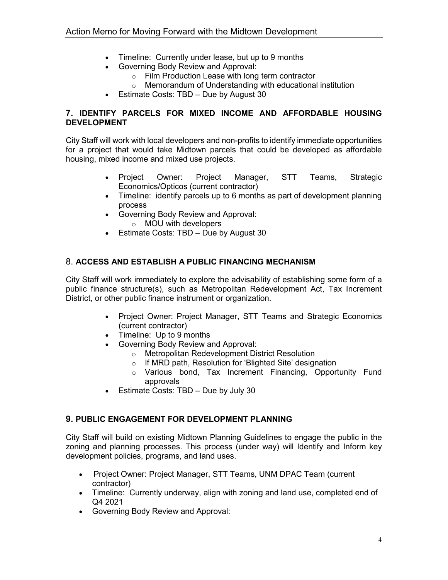- Timeline: Currently under lease, but up to 9 months<br>• Governing Body Review and Approval:
- Governing Body Review and Approval:
	- o Film Production Lease with long term contractor
	- o Memorandum of Understanding with educational institution
- Estimate Costs: TBD Due by August 30

# **7. IDENTIFY PARCELS FOR MIXED INCOME AND AFFORDABLE HOUSING DEVELOPMENT**

City Staff will work with local developers and non-profits to identify immediate opportunities for a project that would take Midtown parcels that could be developed as affordable housing, mixed income and mixed use projects.

- Project Owner: Project Manager, STT Teams, Strategic Economics/Opticos (current contractor)
- Timeline: identify parcels up to 6 months as part of development planning process
- Governing Body Review and Approval:
	- o MOU with developers
- Estimate Costs: TBD Due by August 30

# 8. **ACCESS AND ESTABLISH A PUBLIC FINANCING MECHANISM**

City Staff will work immediately to explore the advisability of establishing some form of a public finance structure(s), such as Metropolitan Redevelopment Act, Tax Increment District, or other public finance instrument or organization.

- Project Owner: Project Manager, STT Teams and Strategic Economics (current contractor)
- Timeline: Up to 9 months
- Governing Body Review and Approval:
	- o Metropolitan Redevelopment District Resolution
	- o If MRD path, Resolution for 'Blighted Site' designation
	- o Various bond, Tax Increment Financing, Opportunity Fund approvals
- Estimate Costs: TBD Due by July 30

# **9. PUBLIC ENGAGEMENT FOR DEVELOPMENT PLANNING**

City Staff will build on existing Midtown Planning Guidelines to engage the public in the zoning and planning processes. This process (under way) will Identify and Inform key development policies, programs, and land uses.

- Project Owner: Project Manager, STT Teams, UNM DPAC Team (current contractor)
- Timeline: Currently underway, align with zoning and land use, completed end of Q4 2021
- Governing Body Review and Approval: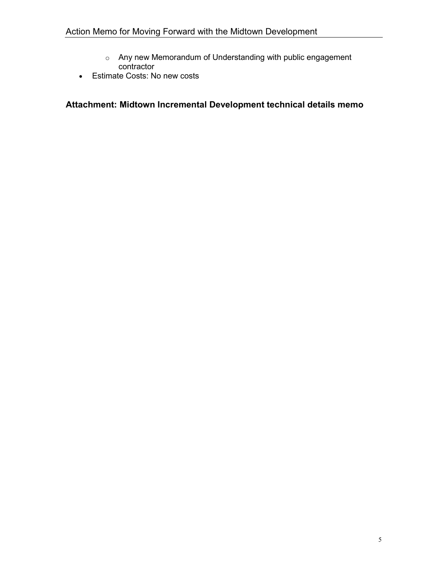- o Any new Memorandum of Understanding with public engagement contractor
- Estimate Costs: No new costs

# **Attachment: Midtown Incremental Development technical details memo**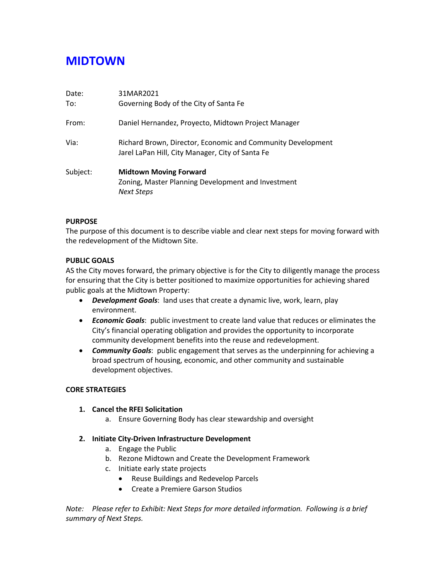# **MIDTOWN**

| Date:<br>To: | 31MAR2021<br>Governing Body of the City of Santa Fe                                                             |
|--------------|-----------------------------------------------------------------------------------------------------------------|
| From:        | Daniel Hernandez, Proyecto, Midtown Project Manager                                                             |
| Via:         | Richard Brown, Director, Economic and Community Development<br>Jarel LaPan Hill, City Manager, City of Santa Fe |
| Subject:     | <b>Midtown Moving Forward</b><br>Zoning, Master Planning Development and Investment<br><b>Next Steps</b>        |

#### **PURPOSE**

The purpose of this document is to describe viable and clear next steps for moving forward with the redevelopment of the Midtown Site.

#### **PUBLIC GOALS**

AS the City moves forward, the primary objective is for the City to diligently manage the process for ensuring that the City is better positioned to maximize opportunities for achieving shared public goals at the Midtown Property:

- *Development Goals*: land uses that create a dynamic live, work, learn, play environment.
- *Economic Goals*: public investment to create land value that reduces or eliminates the City's financial operating obligation and provides the opportunity to incorporate community development benefits into the reuse and redevelopment.
- *Community Goals*: public engagement that serves as the underpinning for achieving a broad spectrum of housing, economic, and other community and sustainable development objectives.

#### **CORE STRATEGIES**

#### **1. Cancel the RFEI Solicitation**

a. Ensure Governing Body has clear stewardship and oversight

#### **2. Initiate City-Driven Infrastructure Development**

- a. Engage the Public
- b. Rezone Midtown and Create the Development Framework
- c. Initiate early state projects
	- Reuse Buildings and Redevelop Parcels
	- Create a Premiere Garson Studios

*Note: Please refer to Exhibit: Next Steps for more detailed information. Following is a brief summary of Next Steps.*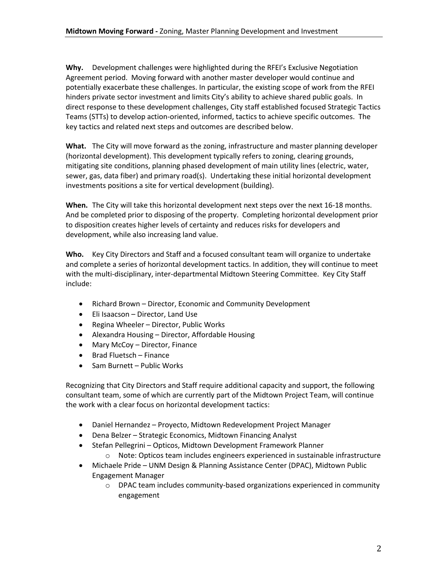**Why.** Development challenges were highlighted during the RFEI's Exclusive Negotiation Agreement period. Moving forward with another master developer would continue and potentially exacerbate these challenges. In particular, the existing scope of work from the RFEI hinders private sector investment and limits City's ability to achieve shared public goals. In direct response to these development challenges, City staff established focused Strategic Tactics Teams (STTs) to develop action-oriented, informed, tactics to achieve specific outcomes. The key tactics and related next steps and outcomes are described below.

**What.** The City will move forward as the zoning, infrastructure and master planning developer (horizontal development). This development typically refers to zoning, clearing grounds, mitigating site conditions, planning phased development of main utility lines (electric, water, sewer, gas, data fiber) and primary road(s). Undertaking these initial horizontal development investments positions a site for vertical development (building).

**When.** The City will take this horizontal development next steps over the next 16-18 months. And be completed prior to disposing of the property. Completing horizontal development prior to disposition creates higher levels of certainty and reduces risks for developers and development, while also increasing land value.

**Who.** Key City Directors and Staff and a focused consultant team will organize to undertake and complete a series of horizontal development tactics. In addition, they will continue to meet with the multi-disciplinary, inter-departmental Midtown Steering Committee. Key City Staff include:

- Richard Brown Director, Economic and Community Development
- Eli Isaacson Director, Land Use
- Regina Wheeler Director, Public Works
- Alexandra Housing Director, Affordable Housing
- Mary McCoy Director, Finance
- Brad Fluetsch Finance
- Sam Burnett Public Works

Recognizing that City Directors and Staff require additional capacity and support, the following consultant team, some of which are currently part of the Midtown Project Team, will continue the work with a clear focus on horizontal development tactics:

- Daniel Hernandez Proyecto, Midtown Redevelopment Project Manager
- Dena Belzer Strategic Economics, Midtown Financing Analyst
- Stefan Pellegrini Opticos, Midtown Development Framework Planner o Note: Opticos team includes engineers experienced in sustainable infrastructure
- Michaele Pride UNM Design & Planning Assistance Center (DPAC), Midtown Public Engagement Manager
	- o DPAC team includes community-based organizations experienced in community engagement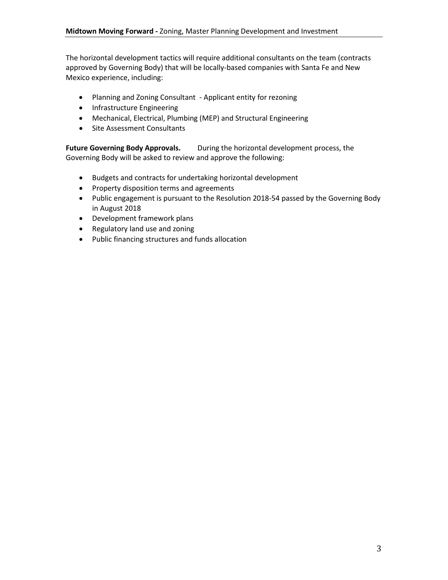The horizontal development tactics will require additional consultants on the team (contracts approved by Governing Body) that will be locally-based companies with Santa Fe and New Mexico experience, including:

- Planning and Zoning Consultant Applicant entity for rezoning
- Infrastructure Engineering
- Mechanical, Electrical, Plumbing (MEP) and Structural Engineering
- Site Assessment Consultants

Future Governing Body Approvals. During the horizontal development process, the Governing Body will be asked to review and approve the following:

- Budgets and contracts for undertaking horizontal development
- Property disposition terms and agreements
- Public engagement is pursuant to the Resolution 2018-54 passed by the Governing Body in August 2018
- Development framework plans
- Regulatory land use and zoning
- Public financing structures and funds allocation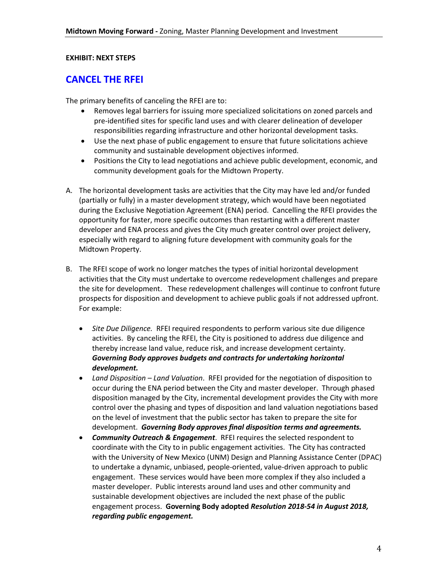#### **EXHIBIT: NEXT STEPS**

# **CANCEL THE RFEI**

The primary benefits of canceling the RFEI are to:

- Removes legal barriers for issuing more specialized solicitations on zoned parcels and pre-identified sites for specific land uses and with clearer delineation of developer responsibilities regarding infrastructure and other horizontal development tasks.
- Use the next phase of public engagement to ensure that future solicitations achieve community and sustainable development objectives informed.
- Positions the City to lead negotiations and achieve public development, economic, and community development goals for the Midtown Property.
- A. The horizontal development tasks are activities that the City may have led and/or funded (partially or fully) in a master development strategy, which would have been negotiated during the Exclusive Negotiation Agreement (ENA) period. Cancelling the RFEI provides the opportunity for faster, more specific outcomes than restarting with a different master developer and ENA process and gives the City much greater control over project delivery, especially with regard to aligning future development with community goals for the Midtown Property.
- B. The RFEI scope of work no longer matches the types of initial horizontal development activities that the City must undertake to overcome redevelopment challenges and prepare the site for development. These redevelopment challenges will continue to confront future prospects for disposition and development to achieve public goals if not addressed upfront. For example:
	- *Site Due Diligence.* RFEI required respondents to perform various site due diligence activities. By canceling the RFEI, the City is positioned to address due diligence and thereby increase land value, reduce risk, and increase development certainty. *Governing Body approves budgets and contracts for undertaking horizontal development.*
	- *Land Disposition – Land Valuation*. RFEI provided for the negotiation of disposition to occur during the ENA period between the City and master developer. Through phased disposition managed by the City, incremental development provides the City with more control over the phasing and types of disposition and land valuation negotiations based on the level of investment that the public sector has taken to prepare the site for development. *Governing Body approves final disposition terms and agreements.*
	- *Community Outreach & Engagement*. RFEI requires the selected respondent to coordinate with the City to in public engagement activities. The City has contracted with the University of New Mexico (UNM) Design and Planning Assistance Center (DPAC) to undertake a dynamic, unbiased, people-oriented, value-driven approach to public engagement. These services would have been more complex if they also included a master developer. Public interests around land uses and other community and sustainable development objectives are included the next phase of the public engagement process. **Governing Body adopted** *Resolution 2018-54 in August 2018, regarding public engagement.*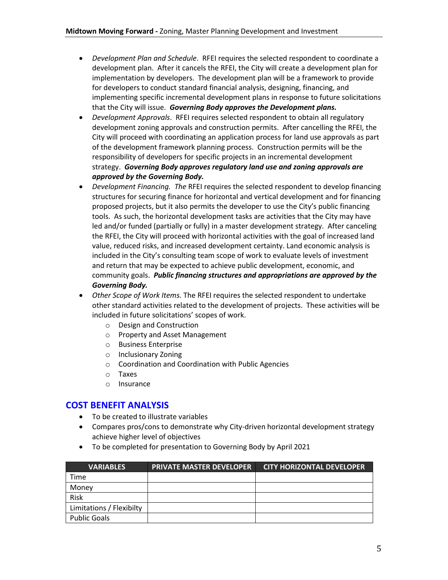- *Development Plan and Schedule*. RFEI requires the selected respondent to coordinate a development plan. After it cancels the RFEI, the City will create a development plan for implementation by developers. The development plan will be a framework to provide for developers to conduct standard financial analysis, designing, financing, and implementing specific incremental development plans in response to future solicitations that the City will issue. *Governing Body approves the Development plans.*
- *Development Approvals*. RFEI requires selected respondent to obtain all regulatory development zoning approvals and construction permits. After cancelling the RFEI, the City will proceed with coordinating an application process for land use approvals as part of the development framework planning process. Construction permits will be the responsibility of developers for specific projects in an incremental development strategy. *Governing Body approves regulatory land use and zoning approvals are approved by the Governing Body.*
- *Development Financing. The* RFEI requires the selected respondent to develop financing structures for securing finance for horizontal and vertical development and for financing proposed projects, but it also permits the developer to use the City's public financing tools. As such, the horizontal development tasks are activities that the City may have led and/or funded (partially or fully) in a master development strategy. After canceling the RFEI, the City will proceed with horizontal activities with the goal of increased land value, reduced risks, and increased development certainty. Land economic analysis is included in the City's consulting team scope of work to evaluate levels of investment and return that may be expected to achieve public development, economic, and community goals. *Public financing structures and appropriations are approved by the Governing Body.*
- *Other Scope of Work Items.* The RFEI requires the selected respondent to undertake other standard activities related to the development of projects. These activities will be included in future solicitations' scopes of work.
	- o Design and Construction
	- o Property and Asset Management
	- o Business Enterprise
	- o Inclusionary Zoning
	- o Coordination and Coordination with Public Agencies
	- o Taxes
	- o Insurance

# **COST BENEFIT ANALYSIS**

- To be created to illustrate variables
- Compares pros/cons to demonstrate why City-driven horizontal development strategy achieve higher level of objectives
- To be completed for presentation to Governing Body by April 2021

| <b>VARIABLES</b>         | <b>PRIVATE MASTER DEVELOPER</b> | <b>CITY HORIZONTAL DEVELOPER</b> |
|--------------------------|---------------------------------|----------------------------------|
| Time                     |                                 |                                  |
| Money                    |                                 |                                  |
| Risk                     |                                 |                                  |
| Limitations / Flexibilty |                                 |                                  |
| <b>Public Goals</b>      |                                 |                                  |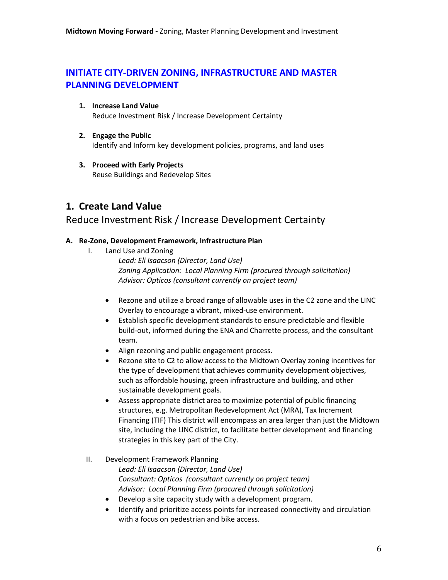# **INITIATE CITY-DRIVEN ZONING, INFRASTRUCTURE AND MASTER PLANNING DEVELOPMENT**

- **1. Increase Land Value** Reduce Investment Risk / Increase Development Certainty
- **2. Engage the Public** Identify and Inform key development policies, programs, and land uses
- **3. Proceed with Early Projects** Reuse Buildings and Redevelop Sites

# **1. Create Land Value**

# Reduce Investment Risk / Increase Development Certainty

#### **A. Re-Zone, Development Framework, Infrastructure Plan**

I. Land Use and Zoning

*Lead: Eli Isaacson (Director, Land Use) Zoning Application: Local Planning Firm (procured through solicitation) Advisor: Opticos (consultant currently on project team)*

- Rezone and utilize a broad range of allowable uses in the C2 zone and the LINC Overlay to encourage a vibrant, mixed-use environment.
- Establish specific development standards to ensure predictable and flexible build-out, informed during the ENA and Charrette process, and the consultant team.
- Align rezoning and public engagement process.
- Rezone site to C2 to allow access to the Midtown Overlay zoning incentives for the type of development that achieves community development objectives, such as affordable housing, green infrastructure and building, and other sustainable development goals.
- Assess appropriate district area to maximize potential of public financing structures, e.g. Metropolitan Redevelopment Act (MRA), Tax Increment Financing (TIF) This district will encompass an area larger than just the Midtown site, including the LINC district, to facilitate better development and financing strategies in this key part of the City.

## II. Development Framework Planning

*Lead: Eli Isaacson (Director, Land Use) Consultant: Opticos (consultant currently on project team) Advisor: Local Planning Firm (procured through solicitation)*

- Develop a site capacity study with a development program.
- Identify and prioritize access points for increased connectivity and circulation with a focus on pedestrian and bike access.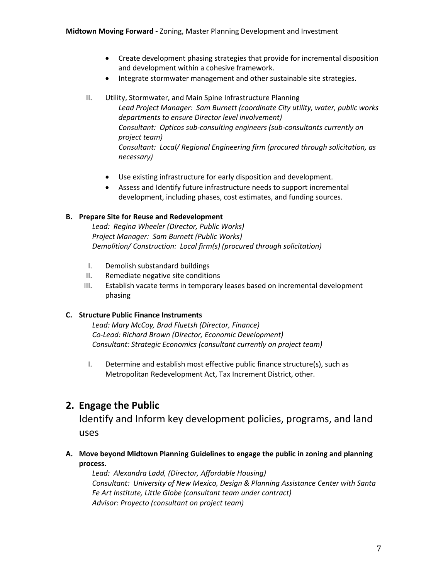- Create development phasing strategies that provide for incremental disposition and development within a cohesive framework.
- Integrate stormwater management and other sustainable site strategies.
- II. Utility, Stormwater, and Main Spine Infrastructure Planning

*Lead Project Manager: Sam Burnett (coordinate City utility, water, public works departments to ensure Director level involvement) Consultant: Opticos sub-consulting engineers (sub-consultants currently on project team) Consultant: Local/ Regional Engineering firm (procured through solicitation, as necessary)*

- Use existing infrastructure for early disposition and development.
- Assess and Identify future infrastructure needs to support incremental development, including phases, cost estimates, and funding sources.

#### **B. Prepare Site for Reuse and Redevelopment**

*Lead: Regina Wheeler (Director, Public Works) Project Manager: Sam Burnett (Public Works) Demolition/ Construction: Local firm(s) (procured through solicitation)*

- I. Demolish substandard buildings
- II. Remediate negative site conditions
- III. Establish vacate terms in temporary leases based on incremental development phasing

#### **C. Structure Public Finance Instruments**

*Lead: Mary McCoy, Brad Fluetsh (Director, Finance) Co-Lead: Richard Brown (Director, Economic Development) Consultant: Strategic Economics (consultant currently on project team)*

I. Determine and establish most effective public finance structure(s), such as Metropolitan Redevelopment Act, Tax Increment District, other.

# **2. Engage the Public**

Identify and Inform key development policies, programs, and land uses

## **A. Move beyond Midtown Planning Guidelines to engage the public in zoning and planning process.**

*Lead: Alexandra Ladd, (Director, Affordable Housing) Consultant: University of New Mexico, Design & Planning Assistance Center with Santa Fe Art Institute, Little Globe (consultant team under contract) Advisor: Proyecto (consultant on project team)*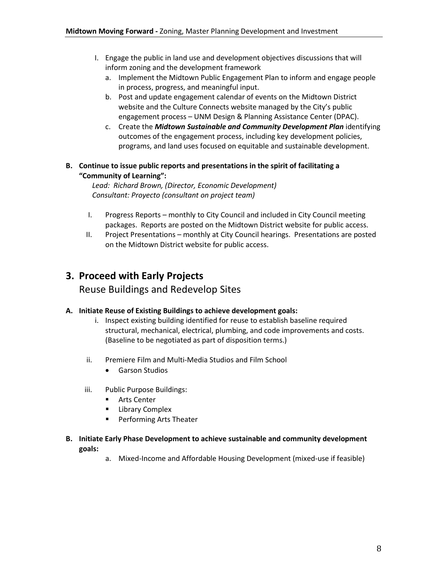- I. Engage the public in land use and development objectives discussions that will inform zoning and the development framework
	- a. Implement the Midtown Public Engagement Plan to inform and engage people in process, progress, and meaningful input.
	- b. Post and update engagement calendar of events on the Midtown District website and the Culture Connects website managed by the City's public engagement process – UNM Design & Planning Assistance Center (DPAC).
	- c. Create the *Midtown Sustainable and Community Development Plan* identifying outcomes of the engagement process, including key development policies, programs, and land uses focused on equitable and sustainable development.

## **B. Continue to issue public reports and presentations in the spirit of facilitating a "Community of Learning":**

*Lead: Richard Brown, (Director, Economic Development) Consultant: Proyecto (consultant on project team)*

- I. Progress Reports monthly to City Council and included in City Council meeting packages. Reports are posted on the Midtown District website for public access.
- II. Project Presentations monthly at City Council hearings. Presentations are posted on the Midtown District website for public access.

# **3. Proceed with Early Projects**

Reuse Buildings and Redevelop Sites

## **A. Initiate Reuse of Existing Buildings to achieve development goals:**

- i. Inspect existing building identified for reuse to establish baseline required structural, mechanical, electrical, plumbing, and code improvements and costs. (Baseline to be negotiated as part of disposition terms.)
- ii. Premiere Film and Multi-Media Studios and Film School
	- Garson Studios
- iii. Public Purpose Buildings:
	- **Arts Center**
	- **E** Library Complex
	- Performing Arts Theater
- **B. Initiate Early Phase Development to achieve sustainable and community development goals:**
	- a. Mixed-Income and Affordable Housing Development (mixed-use if feasible)